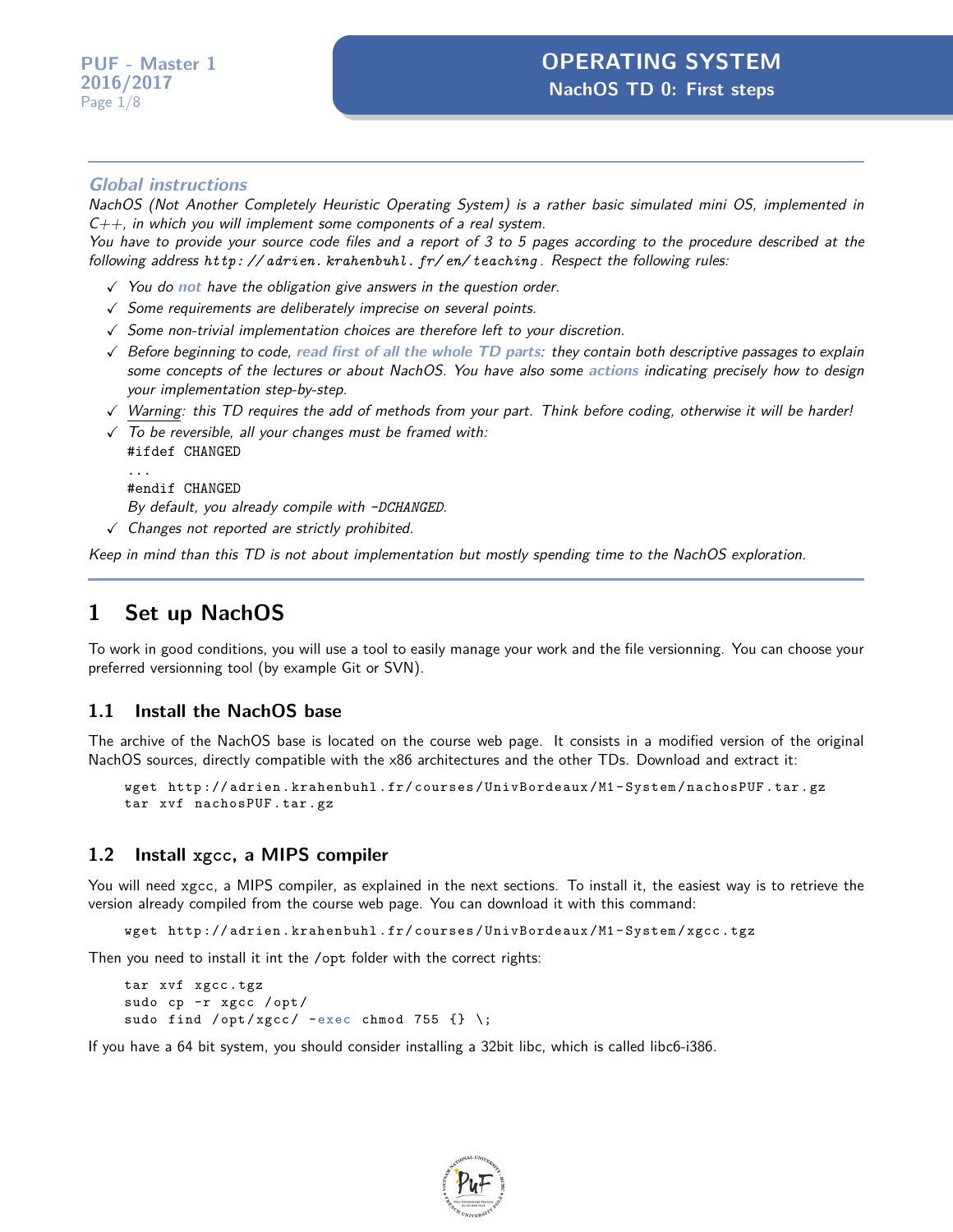## **Global instructions**

NachOS (Not Another Completely Heuristic Operating System) is a rather basic simulated mini OS, implemented in  $C_{++}$ , in which you will implement some components of a real system.

You have to provide your source code files and a report of 3 to 5 pages according to the procedure described at the following address *[http: // adrien. krahenbuhl. fr/ en/ teaching](http://adrien.krahenbuhl.fr/en/teaching)* . Respect the following rules:

- X You do **not** have the obligation give answers in the question order.
- $\sqrt{\ }$  Some requirements are deliberately imprecise on several points.
- $\sqrt{\ }$  Some non-trivial implementation choices are therefore left to your discretion.
- X Before beginning to code, **read first of all the whole TD parts**: they contain both descriptive passages to explain some concepts of the lectures or about NachOS. You have also some **actions** indicating precisely how to design your implementation step-by-step.
- $\sqrt{N}$  Warning: this TD requires the add of methods from your part. Think before coding, otherwise it will be harder!
- $\sqrt{ }$  To be reversible, all your changes must be framed with: #ifdef CHANGED ...

```
#endif CHANGED
```
By default, you already compile with *-DCHANGED*.

 $\checkmark$  Changes not reported are strictly prohibited.

Keep in mind than this TD is not about implementation but mostly spending time to the NachOS exploration.

## **1 Set up NachOS**

To work in good conditions, you will use a tool to easily manage your work and the file versionning. You can choose your preferred versionning tool (by example Git or SVN).

## **1.1 Install the NachOS base**

The archive of the NachOS base is located on the course web page. It consists in a modified version of the original NachOS sources, directly compatible with the x86 architectures and the other TDs. Download and extract it:

```
wget http :// adrien . krahenbuhl . fr / courses / UnivBordeaux / M1 - System / nachosPUF . tar . gz
tar xvf nachosPUF . tar . gz
```
## **1.2 Install xgcc, a MIPS compiler**

You will need xgcc, a MIPS compiler, as explained in the next sections. To install it, the easiest way is to retrieve the version already compiled from the course web page. You can download it with this command:

wget http :// adrien . krahenbuhl . fr / courses / UnivBordeaux / M1 - System / xgcc . tgz

Then you need to install it int the /opt folder with the correct rights:

```
tar xvf xgcc . tgz
sudo cp -r xgcc /opt/
sudo find / opt/xgcc/ -exec chmod 755 \{\} \;
```
If you have a 64 bit system, you should consider installing a 32bit libc, which is called libc6-i386.

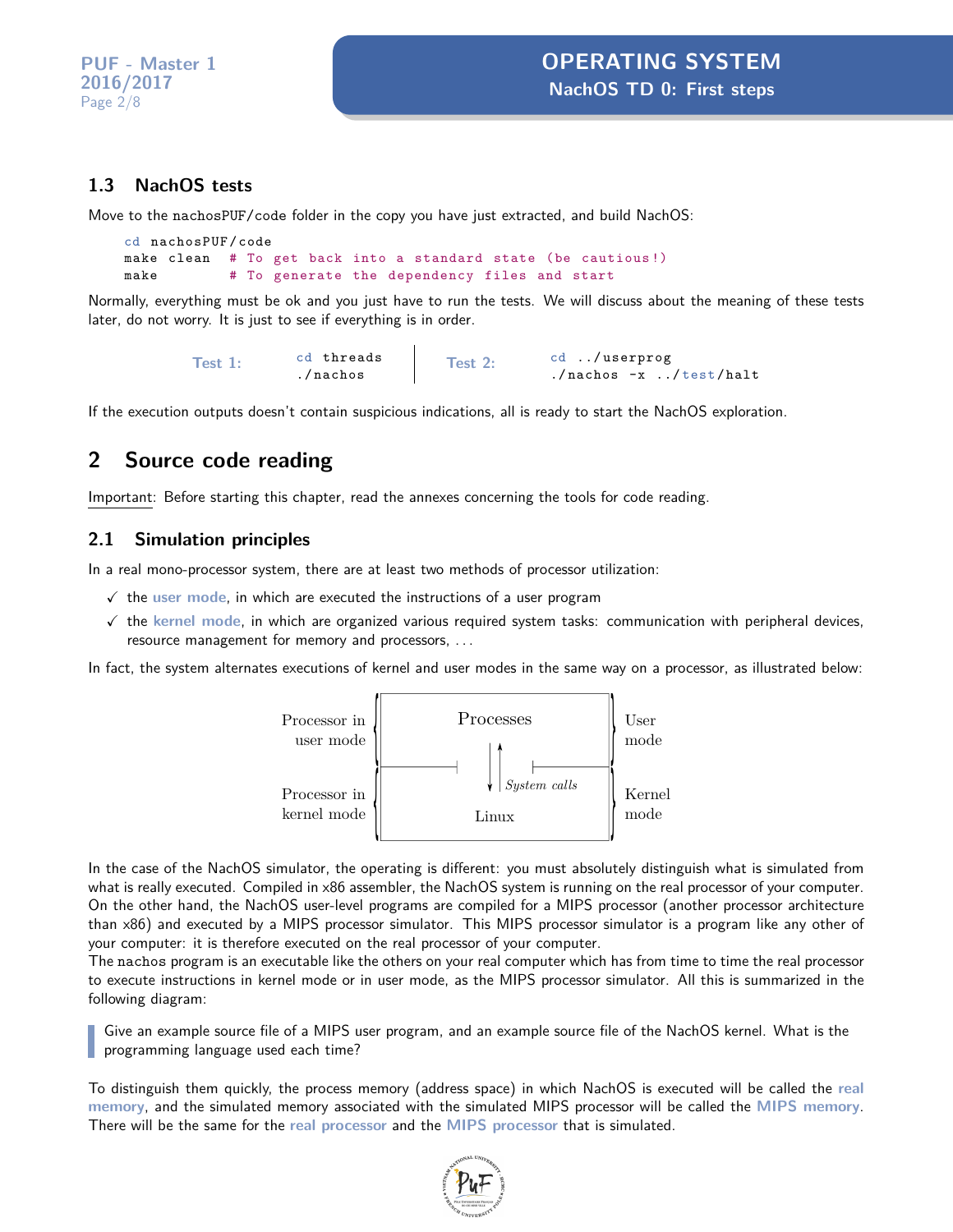## **1.3 NachOS tests**

Move to the nachosPUF/code folder in the copy you have just extracted, and build NachOS:

cd nachosPUF / code make clean # To get back into a standard state (be cautious !) make # To generate the dependency files and start

Normally, everything must be ok and you just have to run the tests. We will discuss about the meaning of these tests later, do not worry. It is just to see if everything is in order.

| Test 1: | cd threads | Test $2:$ | cd /userprog             |
|---------|------------|-----------|--------------------------|
|         | ./nachos   |           | $./nachos -x$ /test/halt |

If the execution outputs doesn't contain suspicious indications, all is ready to start the NachOS exploration.

# **2 Source code reading**

Important: Before starting this chapter, read the annexes concerning the tools for code reading.

## **2.1 Simulation principles**

In a real mono-processor system, there are at least two methods of processor utilization:

- $\checkmark$  the user mode, in which are executed the instructions of a user program
- X the **kernel mode**, in which are organized various required system tasks: communication with peripheral devices, resource management for memory and processors, . . .

In fact, the system alternates executions of kernel and user modes in the same way on a processor, as illustrated below:



In the case of the NachOS simulator, the operating is different: you must absolutely distinguish what is simulated from what is really executed. Compiled in x86 assembler, the NachOS system is running on the real processor of your computer. On the other hand, the NachOS user-level programs are compiled for a MIPS processor (another processor architecture than x86) and executed by a MIPS processor simulator. This MIPS processor simulator is a program like any other of your computer: it is therefore executed on the real processor of your computer.

The nachos program is an executable like the others on your real computer which has from time to time the real processor to execute instructions in kernel mode or in user mode, as the MIPS processor simulator. All this is summarized in the following diagram:

Give an example source file of a MIPS user program, and an example source file of the NachOS kernel. What is the programming language used each time?

To distinguish them quickly, the process memory (address space) in which NachOS is executed will be called the **real memory**, and the simulated memory associated with the simulated MIPS processor will be called the **MIPS memory**. There will be the same for the **real processor** and the **MIPS processor** that is simulated.

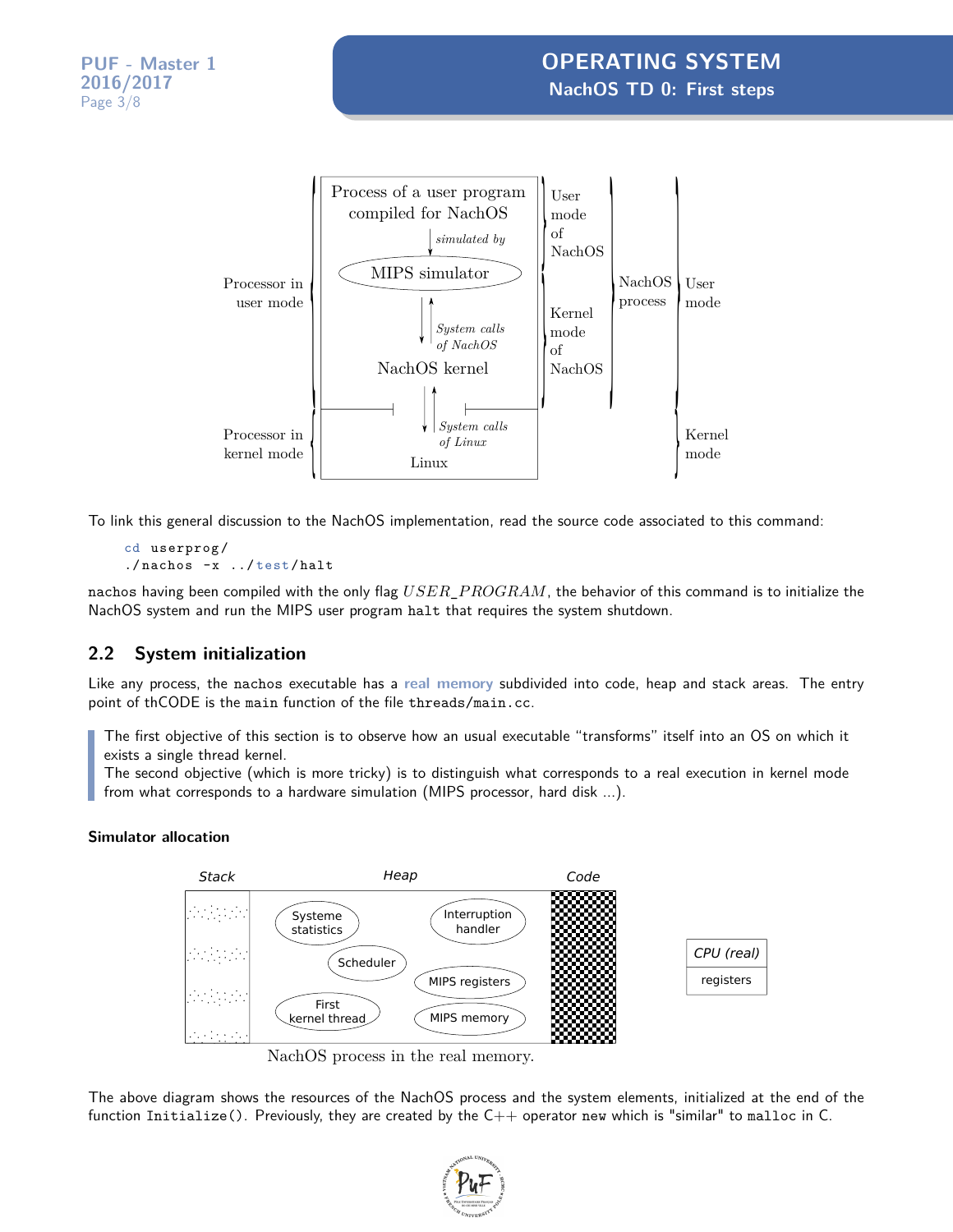

To link this general discussion to the NachOS implementation, read the source code associated to this command:

```
cd userprog /
./ nachos -x ../ test / halt
```
nachos having been compiled with the only flag *USER*\_*P ROGRAM*, the behavior of this command is to initialize the NachOS system and run the MIPS user program halt that requires the system shutdown.

## **2.2 System initialization**

Like any process, the nachos executable has a **real memory** subdivided into code, heap and stack areas. The entry point of thCODE is the main function of the file threads/main.cc.

The first objective of this section is to observe how an usual executable "transforms" itself into an OS on which it exists a single thread kernel.

The second objective (which is more tricky) is to distinguish what corresponds to a real execution in kernel mode from what corresponds to a hardware simulation (MIPS processor, hard disk ...).

### **Simulator allocation**



NachOS process in the real memory.

The above diagram shows the resources of the NachOS process and the system elements, initialized at the end of the function Initialize(). Previously, they are created by the  $C_{++}$  operator new which is "similar" to malloc in C.

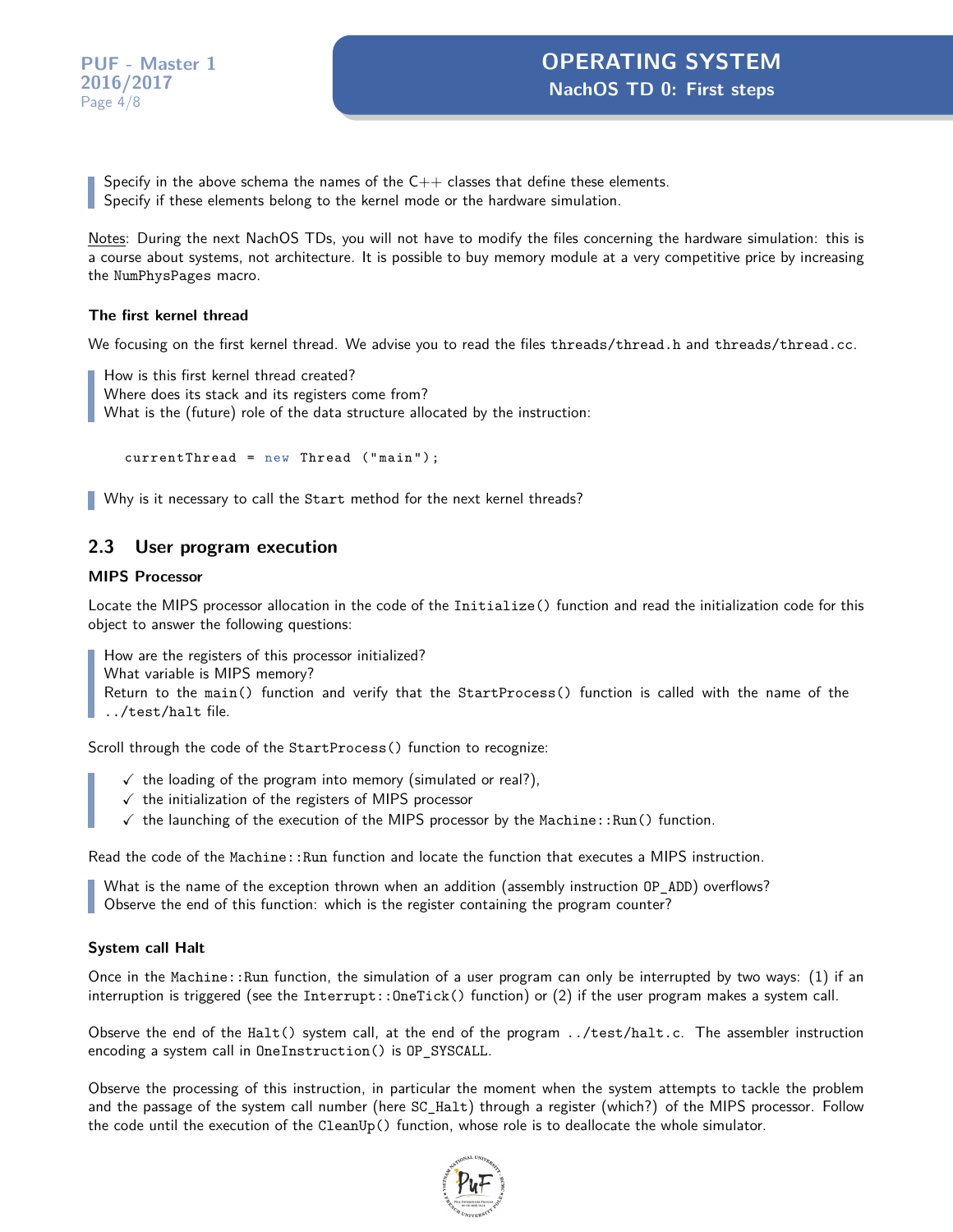Specify in the above schema the names of the  $C++$  classes that define these elements. Specify if these elements belong to the kernel mode or the hardware simulation.

Notes: During the next NachOS TDs, you will not have to modify the files concerning the hardware simulation: this is a course about systems, not architecture. It is possible to buy memory module at a very competitive price by increasing the NumPhysPages macro.

### **The first kernel thread**

We focusing on the first kernel thread. We advise you to read the files threads/thread.h and threads/thread.cc.

How is this first kernel thread created? Where does its stack and its registers come from? What is the (future) role of the data structure allocated by the instruction:

currentThread = new Thread ("main");

Why is it necessary to call the Start method for the next kernel threads?

## **2.3 User program execution**

### **MIPS Processor**

Locate the MIPS processor allocation in the code of the Initialize() function and read the initialization code for this object to answer the following questions:

How are the registers of this processor initialized? What variable is MIPS memory? Return to the main() function and verify that the StartProcess() function is called with the name of the ../test/halt file.

Scroll through the code of the StartProcess() function to recognize:

- $\checkmark$  the loading of the program into memory (simulated or real?),
- $\checkmark$  the initialization of the registers of MIPS processor
- $\checkmark$  the launching of the execution of the MIPS processor by the Machine:: Run() function.

Read the code of the Machine::Run function and locate the function that executes a MIPS instruction.

What is the name of the exception thrown when an addition (assembly instruction OP\_ADD) overflows? Observe the end of this function: which is the register containing the program counter?

### **System call Halt**

Once in the Machine::Run function, the simulation of a user program can only be interrupted by two ways: (1) if an interruption is triggered (see the Interrupt::OneTick() function) or (2) if the user program makes a system call.

Observe the end of the Halt() system call, at the end of the program ../test/halt.c. The assembler instruction encoding a system call in OneInstruction() is OP\_SYSCALL.

Observe the processing of this instruction, in particular the moment when the system attempts to tackle the problem and the passage of the system call number (here SC\_Halt) through a register (which?) of the MIPS processor. Follow the code until the execution of the CleanUp() function, whose role is to deallocate the whole simulator.

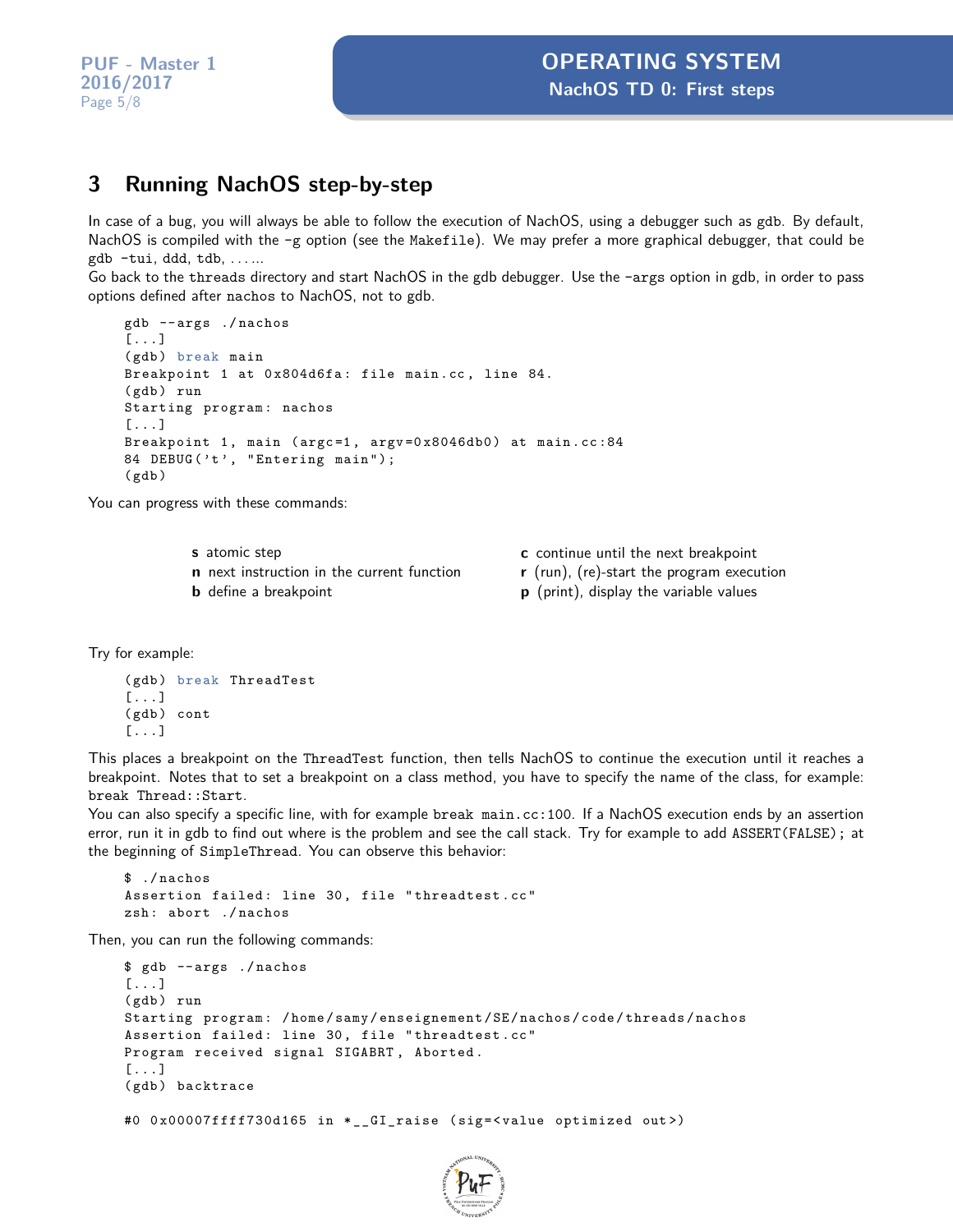## **3 Running NachOS step-by-step**

In case of a bug, you will always be able to follow the execution of NachOS, using a debugger such as gdb. By default, NachOS is compiled with the -g option (see the Makefile). We may prefer a more graphical debugger, that could be  $gdb -tui, ddd, tdb, \ldots$ ...

Go back to the threads directory and start NachOS in the gdb debugger. Use the –args option in gdb, in order to pass options defined after nachos to NachOS, not to gdb.

```
gdb -- args ./ nachos
[...]
(gdb) break main
Breakpoint 1 at 0x804d6fa: file main.cc, line 84.
(gdb) run
Starting program: nachos
[...]
Breakpoint 1, main (argc=1, argv=0x8046db0) at main.cc:84
84 DEBUG ('t', "Entering main");
(gdb)
```
You can progress with these commands:

| s atomic step                                     | <b>c</b> continue until the next breakpoint      |
|---------------------------------------------------|--------------------------------------------------|
| <b>n</b> next instruction in the current function | $r$ (run), (re)-start the program execution      |
| <b>b</b> define a breakpoint                      | $\mathbf p$ (print), display the variable values |

Try for example:

```
(gdb) break ThreadTest
[...]
(gdb) cont
[...]
```
This places a breakpoint on the ThreadTest function, then tells NachOS to continue the execution until it reaches a breakpoint. Notes that to set a breakpoint on a class method, you have to specify the name of the class, for example: break Thread::Start.

You can also specify a specific line, with for example break main.cc:100. If a NachOS execution ends by an assertion error, run it in gdb to find out where is the problem and see the call stack. Try for example to add ASSERT(FALSE); at the beginning of SimpleThread. You can observe this behavior:

```
$ ./ nachos
Assertion failed: line 30, file "threadtest.cc"
zsh: abort ./nachos
```
Then, you can run the following commands:

```
$ gdb -- args ./ nachos
[...]
(gdb) run
Starting program : / home / samy / enseignement / SE / nachos / code / threads / nachos
Assertion failed: line 30, file "threadtest.cc"
Program received signal SIGABRT , Aborted .
[...]
(gdb) backtrace
#0 0x00007ffff730d165 in *__GI_raise (sig=<value optimized out>)
```
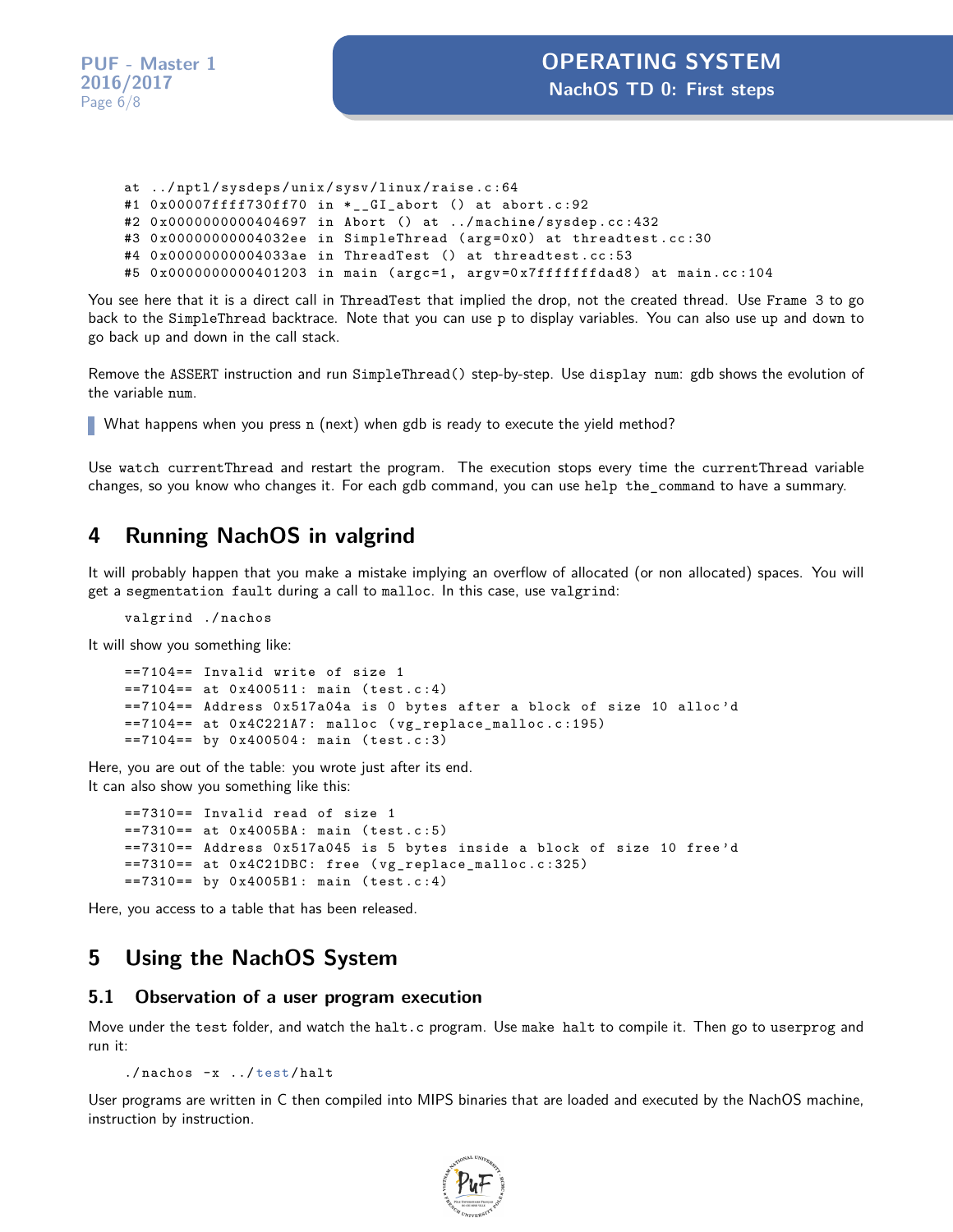```
at ../ nptl / sysdeps / unix / sysv / linux / raise . c :64
#1 0x00007ffff730ff70 in *__GI_abort () at abort.c:92
#2 0 x0000000000404697 in Abort () at ../ machine / sysdep . cc :432
#3 0x000000000004032ee in SimpleThread (arg=0x0) at threadtest.cc:30
#4 0 x00000000004033ae in ThreadTest () at threadtest . cc :53
#5 0 x0000000000401203 in main ( argc =1 , argv =0 x7fffffffdad8 ) at main . cc :104
```
You see here that it is a direct call in ThreadTest that implied the drop, not the created thread. Use Frame 3 to go back to the SimpleThread backtrace. Note that you can use p to display variables. You can also use up and down to go back up and down in the call stack.

Remove the ASSERT instruction and run SimpleThread() step-by-step. Use display num: gdb shows the evolution of the variable num.

What happens when you press n (next) when gdb is ready to execute the yield method?

Use watch currentThread and restart the program. The execution stops every time the currentThread variable changes, so you know who changes it. For each gdb command, you can use help the\_command to have a summary.

## **4 Running NachOS in valgrind**

It will probably happen that you make a mistake implying an overflow of allocated (or non allocated) spaces. You will get a segmentation fault during a call to malloc. In this case, use valgrind:

valgrind ./ nachos

It will show you something like:

```
==7104== Invalid write of size 1
==7104== at 0 x400511 : main ( test . c :4)
==7104== Address 0 x517a04a is 0 bytes after a block of size 10 alloc 'd
==7104== at 0 x4C221A7 : malloc ( vg_replace_malloc . c :195)
==7104== by 0 \times 400504: main (test.c:3)
```
Here, you are out of the table: you wrote just after its end. It can also show you something like this:

```
==7310== Invalid read of size 1
==7310== at 0 x4005BA : main ( test . c :5)
==7310== Address 0 x517a045 is 5 bytes inside a block of size 10 free 'd
==7310== at 0 x4C21DBC : free ( vg_replace_malloc . c :325)
==7310== by 0 x4005B1 : main ( test . c :4)
```
Here, you access to a table that has been released.

## **5 Using the NachOS System**

### **5.1 Observation of a user program execution**

Move under the test folder, and watch the halt.c program. Use make halt to compile it. Then go to userprog and run it:

./ nachos -x ../ test / halt

User programs are written in C then compiled into MIPS binaries that are loaded and executed by the NachOS machine, instruction by instruction.

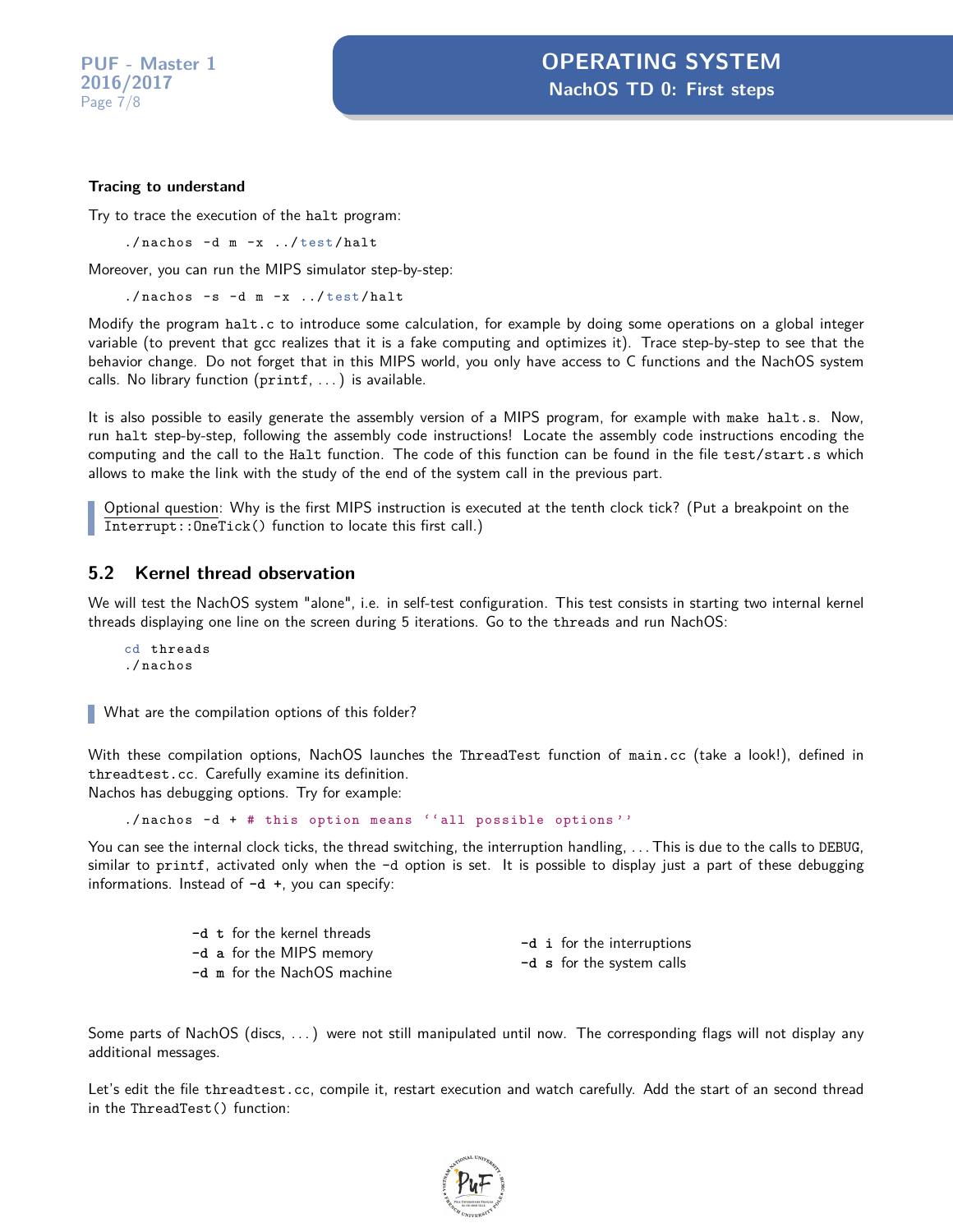#### **Tracing to understand**

Try to trace the execution of the halt program:

 $./nachos -d m -x$  ../test/halt

Moreover, you can run the MIPS simulator step-by-step:

 $./nachos -s -d m -x$  ../test/halt

Modify the program halt.c to introduce some calculation, for example by doing some operations on a global integer variable (to prevent that gcc realizes that it is a fake computing and optimizes it). Trace step-by-step to see that the behavior change. Do not forget that in this MIPS world, you only have access to C functions and the NachOS system calls. No library function (printf, . . . ) is available.

It is also possible to easily generate the assembly version of a MIPS program, for example with make halt.s. Now, run halt step-by-step, following the assembly code instructions! Locate the assembly code instructions encoding the computing and the call to the Halt function. The code of this function can be found in the file test/start.s which allows to make the link with the study of the end of the system call in the previous part.

Optional question: Why is the first MIPS instruction is executed at the tenth clock tick? (Put a breakpoint on the Interrupt::OneTick() function to locate this first call.)

### **5.2 Kernel thread observation**

We will test the NachOS system "alone", i.e. in self-test configuration. This test consists in starting two internal kernel threads displaying one line on the screen during 5 iterations. Go to the threads and run NachOS:

```
cd threads
./ nachos
```
What are the compilation options of this folder?

With these compilation options, NachOS launches the ThreadTest function of main.cc (take a look!), defined in threadtest.cc. Carefully examine its definition.

Nachos has debugging options. Try for example:

./ nachos -d + # this option means ''all possible options ' '

You can see the internal clock ticks, the thread switching, the interruption handling, ... This is due to the calls to DEBUG, similar to printf, activated only when the -d option is set. It is possible to display just a part of these debugging informations. Instead of **-d +**, you can specify:

| $-\mathtt{d}$ $\mathtt{t}$ for the kernel threads<br>-d a for the MIPS memory<br>−d m for the NachOS machine | $-d$ i for the interruptions<br>-d s for the system calls |
|--------------------------------------------------------------------------------------------------------------|-----------------------------------------------------------|
|--------------------------------------------------------------------------------------------------------------|-----------------------------------------------------------|

Some parts of NachOS (discs, . . . ) were not still manipulated until now. The corresponding flags will not display any additional messages.

Let's edit the file threadtest.cc, compile it, restart execution and watch carefully. Add the start of an second thread in the ThreadTest() function: